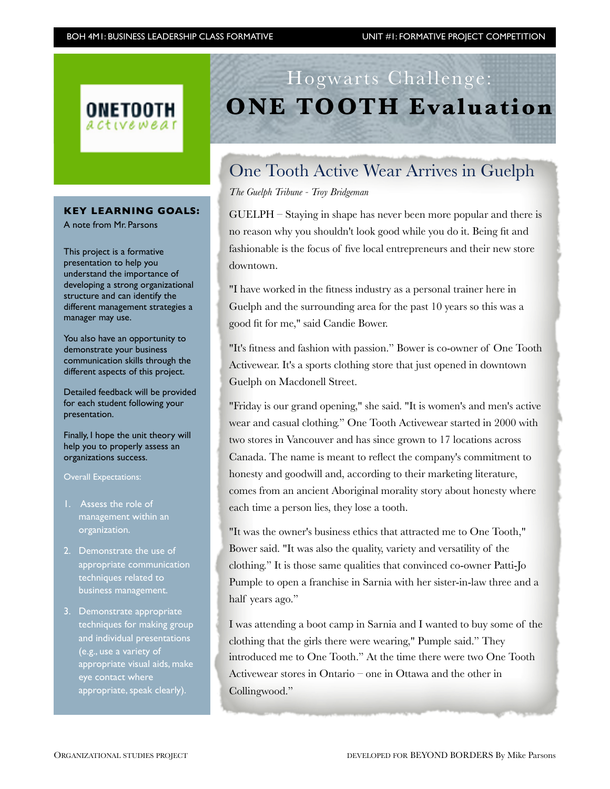

### **KEY LEARNING GOALS:**

A note from Mr. Parsons

This project is a formative presentation to help you understand the importance of developing a strong organizational structure and can identify the different management strategies a manager may use.

You also have an opportunity to demonstrate your business communication skills through the different aspects of this project.

Detailed feedback will be provided for each student following your presentation.

Finally, I hope the unit theory will help you to properly assess an organizations success.

Overall Expectations:

- management within an organization.
- 2. Demonstrate the use of appropriate communication techniques related to business management.
- 3. Demonstrate appropriate techniques for making group and individual presentations (e.g., use a variety of appropriate visual aids, make eye contact where appropriate, speak clearly).

# Hogwarts Challenge: **ONE TOOTH Evaluation**

## One Tooth Active Wear Arrives in Guelph

*The Guelph Tribune - Troy Bridgeman*

GUELPH – Staying in shape has never been more popular and there is no reason why you shouldn't look good while you do it. Being fit and fashionable is the focus of five local entrepreneurs and their new store downtown.

"I have worked in the fitness industry as a personal trainer here in Guelph and the surrounding area for the past 10 years so this was a good fit for me," said Candie Bower.

"It's fitness and fashion with passion." Bower is co-owner of One Tooth Activewear. It's a sports clothing store that just opened in downtown Guelph on Macdonell Street.

"Friday is our grand opening," she said. "It is women's and men's active wear and casual clothing." One Tooth Activewear started in 2000 with two stores in Vancouver and has since grown to 17 locations across Canada. The name is meant to reflect the company's commitment to honesty and goodwill and, according to their marketing literature, comes from an ancient Aboriginal morality story about honesty where each time a person lies, they lose a tooth.

"It was the owner's business ethics that attracted me to One Tooth," Bower said. "It was also the quality, variety and versatility of the clothing." It is those same qualities that convinced co-owner Patti-Jo Pumple to open a franchise in Sarnia with her sister-in-law three and a half years ago."

I was attending a boot camp in Sarnia and I wanted to buy some of the clothing that the girls there were wearing," Pumple said." They introduced me to One Tooth." At the time there were two One Tooth Activewear stores in Ontario – one in Ottawa and the other in Collingwood."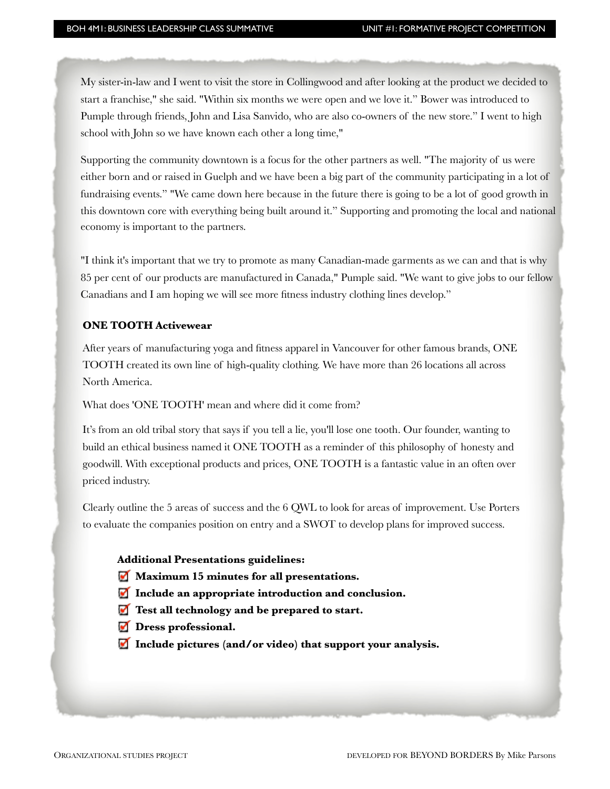My sister-in-law and I went to visit the store in Collingwood and after looking at the product we decided to start a franchise," she said. "Within six months we were open and we love it." Bower was introduced to Pumple through friends, John and Lisa Sanvido, who are also co-owners of the new store." I went to high school with John so we have known each other a long time,"

Supporting the community downtown is a focus for the other partners as well. "The majority of us were either born and or raised in Guelph and we have been a big part of the community participating in a lot of fundraising events." "We came down here because in the future there is going to be a lot of good growth in this downtown core with everything being built around it." Supporting and promoting the local and national economy is important to the partners.

"I think it's important that we try to promote as many Canadian-made garments as we can and that is why 85 per cent of our products are manufactured in Canada," Pumple said. "We want to give jobs to our fellow Canadians and I am hoping we will see more fitness industry clothing lines develop."

#### **ONE TOOTH Activewear**

After years of manufacturing yoga and fitness apparel in Vancouver for other famous brands, ONE TOOTH created its own line of high-quality clothing. We have more than 26 locations all across North America.

What does 'ONE TOOTH' mean and where did it come from?

It's from an old tribal story that says if you tell a lie, you'll lose one tooth. Our founder, wanting to build an ethical business named it ONE TOOTH as a reminder of this philosophy of honesty and goodwill. With exceptional products and prices, ONE TOOTH is a fantastic value in an often over priced industry.

Clearly outline the 5 areas of success and the 6 QWL to look for areas of improvement. Use Porters to evaluate the companies position on entry and a SWOT to develop plans for improved success.

#### **Additional Presentations guidelines:**

- **Maximum 15 minutes for all presentations.**
- **Include an appropriate introduction and conclusion.**
- **Test all technology and be prepared to start.**
- *Dress professional.*
- **Include pictures (and/or video) that support your analysis.**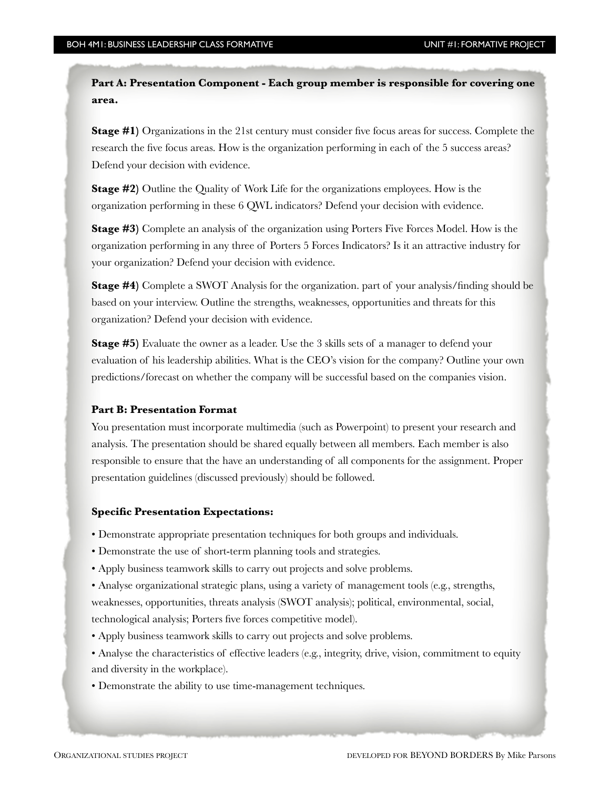**Part A: Presentation Component - Each group member is responsible for covering one area.**

**Stage #1)** Organizations in the 21st century must consider five focus areas for success. Complete the research the five focus areas. How is the organization performing in each of the 5 success areas? Defend your decision with evidence.

**Stage #2)** Outline the Quality of Work Life for the organizations employees. How is the organization performing in these 6 QWL indicators? Defend your decision with evidence.

**Stage #3)** Complete an analysis of the organization using Porters Five Forces Model. How is the organization performing in any three of Porters 5 Forces Indicators? Is it an attractive industry for your organization? Defend your decision with evidence.

**Stage #4)** Complete a SWOT Analysis for the organization. part of your analysis/finding should be based on your interview. Outline the strengths, weaknesses, opportunities and threats for this organization? Defend your decision with evidence.

**Stage #5)** Evaluate the owner as a leader. Use the 3 skills sets of a manager to defend your evaluation of his leadership abilities. What is the CEO's vision for the company? Outline your own predictions/forecast on whether the company will be successful based on the companies vision.

#### **Part B: Presentation Format**

You presentation must incorporate multimedia (such as Powerpoint) to present your research and analysis. The presentation should be shared equally between all members. Each member is also responsible to ensure that the have an understanding of all components for the assignment. Proper presentation guidelines (discussed previously) should be followed.

#### **Specific Presentation Expectations:**

• Demonstrate appropriate presentation techniques for both groups and individuals.

- Demonstrate the use of short-term planning tools and strategies.
- Apply business teamwork skills to carry out projects and solve problems.

• Analyse organizational strategic plans, using a variety of management tools (e.g., strengths, weaknesses, opportunities, threats analysis (SWOT analysis); political, environmental, social, technological analysis; Porters five forces competitive model).

- Apply business teamwork skills to carry out projects and solve problems.
- Analyse the characteristics of effective leaders (e.g., integrity, drive, vision, commitment to equity and diversity in the workplace).
- Demonstrate the ability to use time-management techniques.